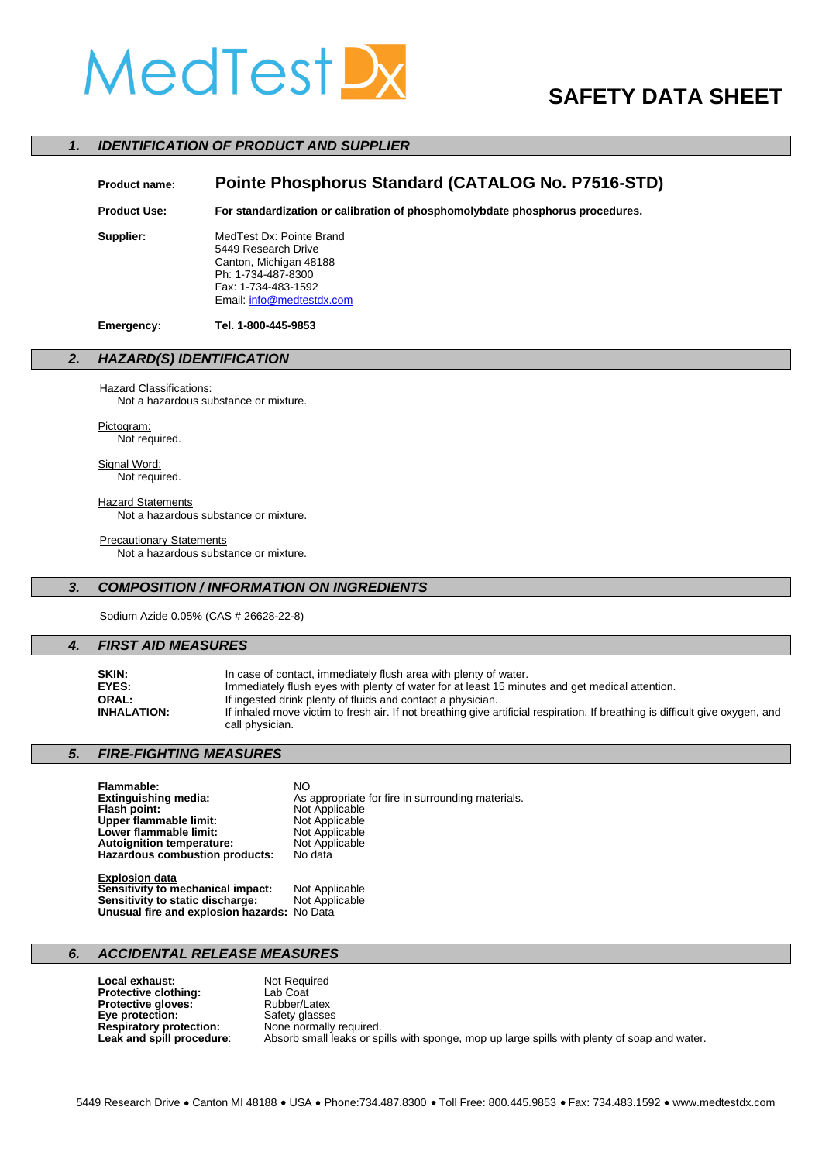# MedTestD

## **SAFETY DATA SHEET**

#### *1. IDENTIFICATION OF PRODUCT AND SUPPLIER*

### **Product name: Pointe Phosphorus Standard (CATALOG No. P7516-STD) Product Use: For standardization or calibration of phosphomolybdate phosphorus procedures. Supplier:** MedTest Dx: Pointe Brand 5449 Research Drive Canton, Michigan 48188 Ph: 1-734-487-8300 Fax: 1-734-483-1592 Email[: info@medtestdx.com](mailto:info@medtestdx.com) **Emergency: Tel. 1-800-445-9853**

#### *2. HAZARD(S) IDENTIFICATION*

#### **Hazard Classifications:**

Not a hazardous substance or mixture.

Pictogram: Not required.

Signal Word: Not required.

**Hazard Statements** Not a hazardous substance or mixture.

#### **Precautionary Statements**

Not a hazardous substance or mixture.

### *3. COMPOSITION / INFORMATION ON INGREDIENTS*

Sodium Azide 0.05% (CAS # 26628-22-8)

#### *4. FIRST AID MEASURES*

| SKIN:              | In case of contact, immediately flush area with plenty of water.                                                              |
|--------------------|-------------------------------------------------------------------------------------------------------------------------------|
| EYES:              | Immediately flush eyes with plenty of water for at least 15 minutes and get medical attention.                                |
| ORAL:              | If ingested drink plenty of fluids and contact a physician.                                                                   |
| <b>INHALATION:</b> | If inhaled move victim to fresh air. If not breathing give artificial respiration. If breathing is difficult give oxygen, and |
|                    | call physician.                                                                                                               |

#### *5. FIRE-FIGHTING MEASURES*

| Flammable:                       | NΟ                                                |
|----------------------------------|---------------------------------------------------|
| Extinguishing media:             | As appropriate for fire in surrounding materials. |
| Flash point:                     | Not Applicable                                    |
| Upper flammable limit:           | Not Applicable                                    |
| Lower flammable limit:           | Not Applicable                                    |
| <b>Autoignition temperature:</b> | Not Applicable                                    |
| Hazardous combustion products:   | No data                                           |
| <b>Explosion data</b>            |                                                   |

| EADIUSIUII UAIA                             |                |
|---------------------------------------------|----------------|
| Sensitivity to mechanical impact:           | Not Applicable |
| Sensitivity to static discharge:            | Not Applicable |
| Unusual fire and explosion hazards: No Data |                |

#### *6. ACCIDENTAL RELEASE MEASURES*

**Local exhaust:** Not Required<br> **Protective clothing:** Lab Coat **Protective clothing:** Lab Coat<br> **Protective gloves:** Rubber/Latex **Protective gloves:** Rubber/Latex<br> **Eye protection:** Safety glasses **Eye protection:** Safety glasses<br> **Respiratory protection:** None normally required. **Respiratory protection:**<br>Leak and spill procedure: Absorb small leaks or spills with sponge, mop up large spills with plenty of soap and water.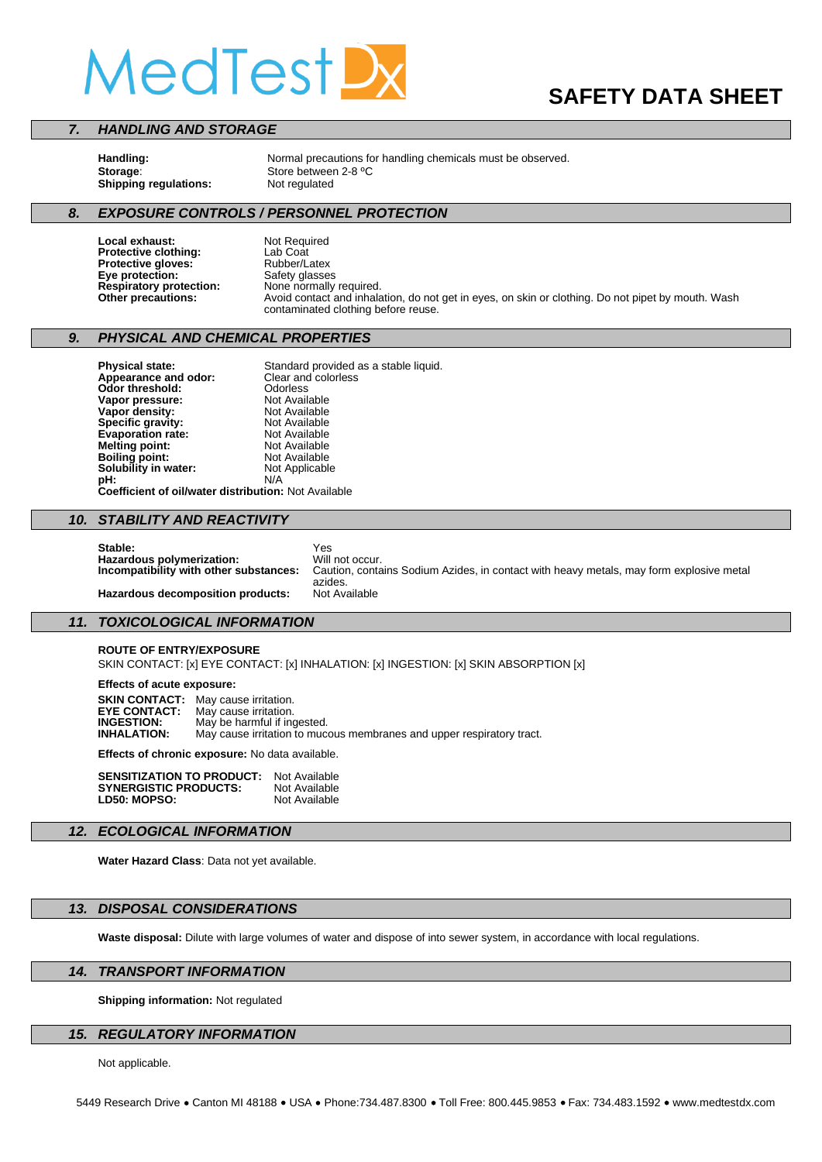# MedTest,

## **SAFETY DATA SHEET**

#### *7. HANDLING AND STORAGE*

**Shipping regulations:** Not regulated

Handling:<br> **Storage:** Store between 2-8 °C<br>
Storage: Store between 2-8 °C

#### *8. EXPOSURE CONTROLS / PERSONNEL PROTECTION*

**Local exhaust:** Not Required<br> **Protective clothing:** Lab Coat **Protective clothing:** Lab Coat<br> **Protective gloves:** Rubber/Latex **Protective gloves:** Rubber/Latex **Eye protection:** Safety glasses

**Respiratory protection:** None normally required.<br> **Other precautions:** Avoid contact and inhala Avoid contact and inhalation, do not get in eyes, on skin or clothing. Do not pipet by mouth. Wash contaminated clothing before reuse.

#### *9. PHYSICAL AND CHEMICAL PROPERTIES*

**Physical state:** Standard provided as a stable liquid.<br>**Annearance and odor:** Clear and colorless **Appearance and odor:** Clear and **Clear and colorless Odor threshold:** Odorless<br> **Vapor pressure:** Not Available **Vapor pressure:** Not Available<br> **Vapor density:** Not Available **Vapor density:** Not Available **Specific gravity:** Not Available **Evaporation rate:** Not Available<br> **Melting point:** Not Available **Melting point:** Not Available<br> **Boiling point:** Not Available **Boiling point:** Not Available<br> **Solubility in water:** Not Applicable **Solubility in water: pH:** N/A **Coefficient of oil/water distribution:** Not Available

#### *10. STABILITY AND REACTIVITY*

**Stable:** Yes Hazardous polymerization: Will not occur. **Hazardous decomposition products:** 

Caution, contains Sodium Azides, in contact with heavy metals, may form explosive metal azides.<br>Not Available

#### *11. TOXICOLOGICAL INFORMATION*

#### **ROUTE OF ENTRY/EXPOSURE**

SKIN CONTACT: [x] EYE CONTACT: [x] INHALATION: [x] INGESTION: [x] SKIN ABSORPTION [x]

**Effects of acute exposure:** 

**SKIN CONTACT:** May cause irritation.<br>**EYE CONTACT:** May cause irritation. **EYE CONTACT:** May cause irritation.<br>**INGESTION:** May be harmful if ing **INGESTION:** May be harmful if ingested.<br>**INHALATION:** May cause irritation to muc May cause irritation to mucous membranes and upper respiratory tract.

**Effects of chronic exposure:** No data available.

| <b>SENSITIZATION TO PRODUCT:</b> | Not Available |
|----------------------------------|---------------|
| <b>SYNERGISTIC PRODUCTS:</b>     | Not Available |
| LD50 MOPSO                       | Not Available |

#### *12. ECOLOGICAL INFORMATION*

**Water Hazard Class**: Data not yet available.

#### *13. DISPOSAL CONSIDERATIONS*

**Waste disposal:** Dilute with large volumes of water and dispose of into sewer system, in accordance with local regulations.

#### *14. TRANSPORT INFORMATION*

**Shipping information:** Not regulated

#### *15. REGULATORY INFORMATION*

Not applicable.